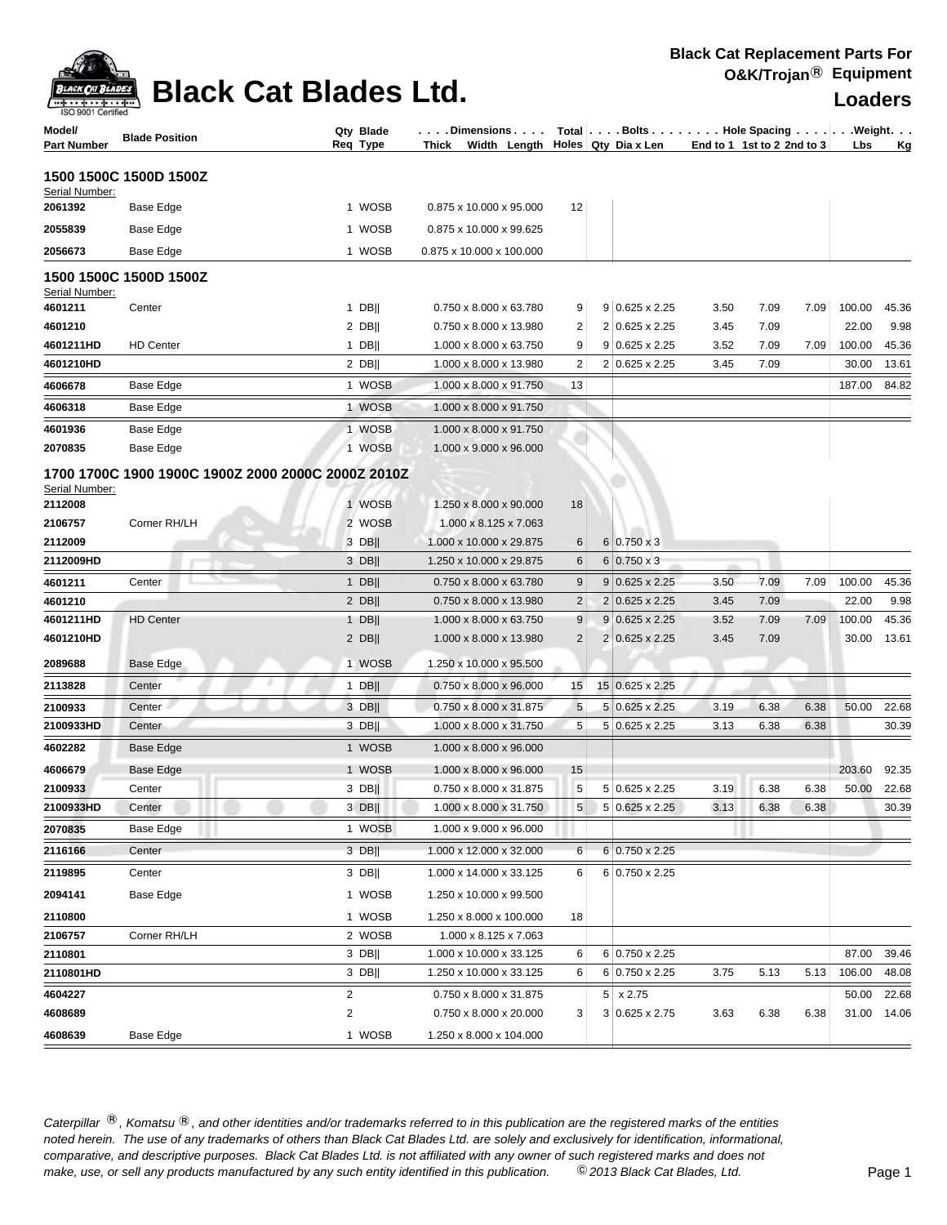

| Model/<br>Part Number     | <b>Blade Position</b>  | Qty Blade<br>Req Type                                        | . Dimensions<br>Thick Width Length Holes Qty Dia x Len |                | Total   Bolts   Hole Spacing   Weight.  | End to 1 1st to 2 2nd to 3 |      |      | Lbs    | <u>Kg</u>      |
|---------------------------|------------------------|--------------------------------------------------------------|--------------------------------------------------------|----------------|-----------------------------------------|----------------------------|------|------|--------|----------------|
|                           | 1500 1500C 1500D 1500Z |                                                              |                                                        |                |                                         |                            |      |      |        |                |
| Serial Number:<br>2061392 | Base Edge              | 1 WOSB                                                       | 0.875 x 10.000 x 95.000                                | 12             |                                         |                            |      |      |        |                |
|                           |                        | 1 WOSB                                                       | 0.875 x 10.000 x 99.625                                |                |                                         |                            |      |      |        |                |
| 2055839                   | Base Edge              |                                                              |                                                        |                |                                         |                            |      |      |        |                |
| 2056673                   | Base Edge              | 1 WOSB                                                       | 0.875 x 10.000 x 100.000                               |                |                                         |                            |      |      |        |                |
| Serial Number:            | 1500 1500C 1500D 1500Z |                                                              |                                                        |                |                                         |                            |      |      |        |                |
| 4601211                   | Center                 | $1$ DB                                                       | 0.750 x 8.000 x 63.780                                 | 9              | $9$ 0.625 x 2.25                        | 3.50                       | 7.09 | 7.09 | 100.00 | 45.36          |
| 4601210                   |                        | $2$ DB                                                       | 0.750 x 8.000 x 13.980                                 | 2              | 2 0.625 x 2.25                          | 3.45                       | 7.09 |      | 22.00  | 9.98           |
| 4601211HD                 | <b>HD Center</b>       | $1$ DB                                                       | 1.000 x 8.000 x 63.750                                 | 9              | $9 0.625 \times 2.25$                   | 3.52                       | 7.09 | 7.09 | 100.00 | 45.36          |
| 4601210HD                 |                        | $2$ DB                                                       | 1.000 x 8.000 x 13.980                                 | 2              | 2 0.625 x 2.25                          | 3.45                       | 7.09 |      | 30.00  | 13.61          |
| 4606678                   | Base Edge              | 1 WOSB                                                       | 1.000 x 8.000 x 91.750                                 | 13             |                                         |                            |      |      | 187.00 | 84.82          |
| 4606318                   | Base Edge              | 1 WOSB                                                       | 1.000 x 8.000 x 91.750                                 |                |                                         |                            |      |      |        |                |
| 4601936                   | Base Edge              | 1 WOSB                                                       | 1.000 x 8.000 x 91.750                                 |                |                                         |                            |      |      |        |                |
| 2070835                   | Base Edge              | 1 WOSB                                                       | 1.000 x 9.000 x 96.000                                 |                |                                         |                            |      |      |        |                |
| Serial Number:<br>2112008 |                        | 1700 1700C 1900 1900C 1900Z 2000 2000C 2000Z 2010Z<br>1 WOSB | 1.250 x 8.000 x 90.000                                 | 18             |                                         |                            |      |      |        |                |
| 2106757                   | Corner RH/LH           | 2 WOSB                                                       | 1.000 x 8.125 x 7.063                                  |                |                                         |                            |      |      |        |                |
| 2112009                   |                        | 3 DB                                                         | 1.000 x 10.000 x 29.875                                | 6              | $6 0.750 \times 3$                      |                            |      |      |        |                |
| 2112009HD                 |                        | $3$ DB                                                       | 1.250 x 10.000 x 29.875                                | 6              | $6 0.750 \times 3$                      |                            |      |      |        |                |
| 4601211                   | Center                 | $1$ DB                                                       | 0.750 x 8.000 x 63.780                                 | 9              | $9 0.625 \times 2.25$                   | 3.50                       | 7.09 | 7.09 | 100.00 | 45.36          |
| 4601210                   |                        | $2$ DB                                                       | 0.750 x 8.000 x 13.980                                 | $\overline{c}$ | $2 0.625 \times 2.25$                   | 3.45                       | 7.09 |      | 22.00  | 9.98           |
| 4601211HD                 | <b>HD Center</b>       | 1 DB                                                         | 1.000 x 8.000 x 63.750                                 | 9<br>2         | $9 0.625 \times 2.25$<br>2 0.625 x 2.25 | 3.52                       | 7.09 | 7.09 | 100.00 | 45.36<br>13.61 |
| 4601210HD                 |                        | $2$ DB                                                       | 1.000 x 8.000 x 13.980                                 |                |                                         | 3.45                       | 7.09 |      | 30.00  |                |
| 2089688                   | Base Edge              | 1 WOSB                                                       | 1.250 x 10.000 x 95.500                                |                |                                         |                            |      |      |        |                |
| 2113828                   | Center                 | $1$ DB                                                       | 0.750 x 8.000 x 96.000                                 | 15             | 15 0.625 x 2.25                         |                            |      |      |        |                |
| 2100933                   | Center                 | $3$ DB                                                       | 0.750 x 8.000 x 31.875                                 | 5              | $5 0.625 \times 2.25$                   | 3.19                       | 6.38 | 6.38 | 50.00  | 22.68          |
| 2100933HD                 | Center                 | $3$ DB                                                       | 1.000 x 8.000 x 31.750                                 | 5              | 5 0.625 x 2.25                          | 3.13                       | 6.38 | 6.38 |        | 30.39          |
| 4602282                   | <b>Base Edge</b>       | 1 WOSB                                                       | 1.000 x 8.000 x 96.000                                 |                |                                         |                            |      |      |        |                |
| 4606679                   | Base Edge              | 1 WOSB                                                       | 1.000 x 8.000 x 96.000                                 | 15             |                                         |                            |      |      | 203.60 | 92.35          |
| 2100933                   | Center                 | $3$ DB                                                       | 0.750 x 8.000 x 31.875                                 | 5              | 5 0.625 x 2.25                          | 3.19                       | 6.38 | 6.38 | 50.00  | 22.68          |
| 2100933HD                 | Center                 | $3$ DB                                                       | 1.000 x 8.000 x 31.750                                 | 5 <sup>5</sup> | 5 0.625 x 2.25                          | 3.13                       | 6.38 | 6.38 |        | 30.39          |
| 2070835                   | Base Edge              | 1 WOSB                                                       | 1.000 x 9.000 x 96.000                                 |                |                                         |                            |      |      |        |                |
| 2116166                   | Center                 | 3 DB                                                         | 1.000 x 12.000 x 32.000                                | 6              | $6 0.750 \times 2.25$                   |                            |      |      |        |                |
| 2119895                   | Center                 | $3$ DB                                                       | 1.000 x 14.000 x 33.125                                | 6              | 6 0.750 x 2.25                          |                            |      |      |        |                |
| 2094141                   | Base Edge              | 1 WOSB                                                       | 1.250 x 10.000 x 99.500                                |                |                                         |                            |      |      |        |                |
| 2110800                   |                        | 1 WOSB                                                       | 1.250 x 8.000 x 100.000                                | 18             |                                         |                            |      |      |        |                |
| 2106757                   | Corner RH/LH           | 2 WOSB                                                       | 1.000 x 8.125 x 7.063                                  |                |                                         |                            |      |      |        |                |
| 2110801                   |                        | $3$ DB                                                       | 1.000 x 10.000 x 33.125                                | 6              | 6 0.750 x 2.25                          |                            |      |      | 87.00  | 39.46          |
| 2110801HD                 |                        | $3$ DB                                                       | 1.250 x 10.000 x 33.125                                | 6              | 6 0.750 x 2.25                          | 3.75                       | 5.13 | 5.13 | 106.00 | 48.08          |
| 4604227                   |                        | 2                                                            | 0.750 x 8.000 x 31.875                                 |                | $5 \times 2.75$                         |                            |      |      | 50.00  | 22.68          |
| 4608689                   |                        | $\overline{2}$                                               | 0.750 x 8.000 x 20.000                                 | 3              | 3 0.625 x 2.75                          | 3.63                       | 6.38 | 6.38 | 31.00  | 14.06          |
| 4608639                   | Base Edge              | 1 WOSB                                                       | 1.250 x 8.000 x 104.000                                |                |                                         |                            |      |      |        |                |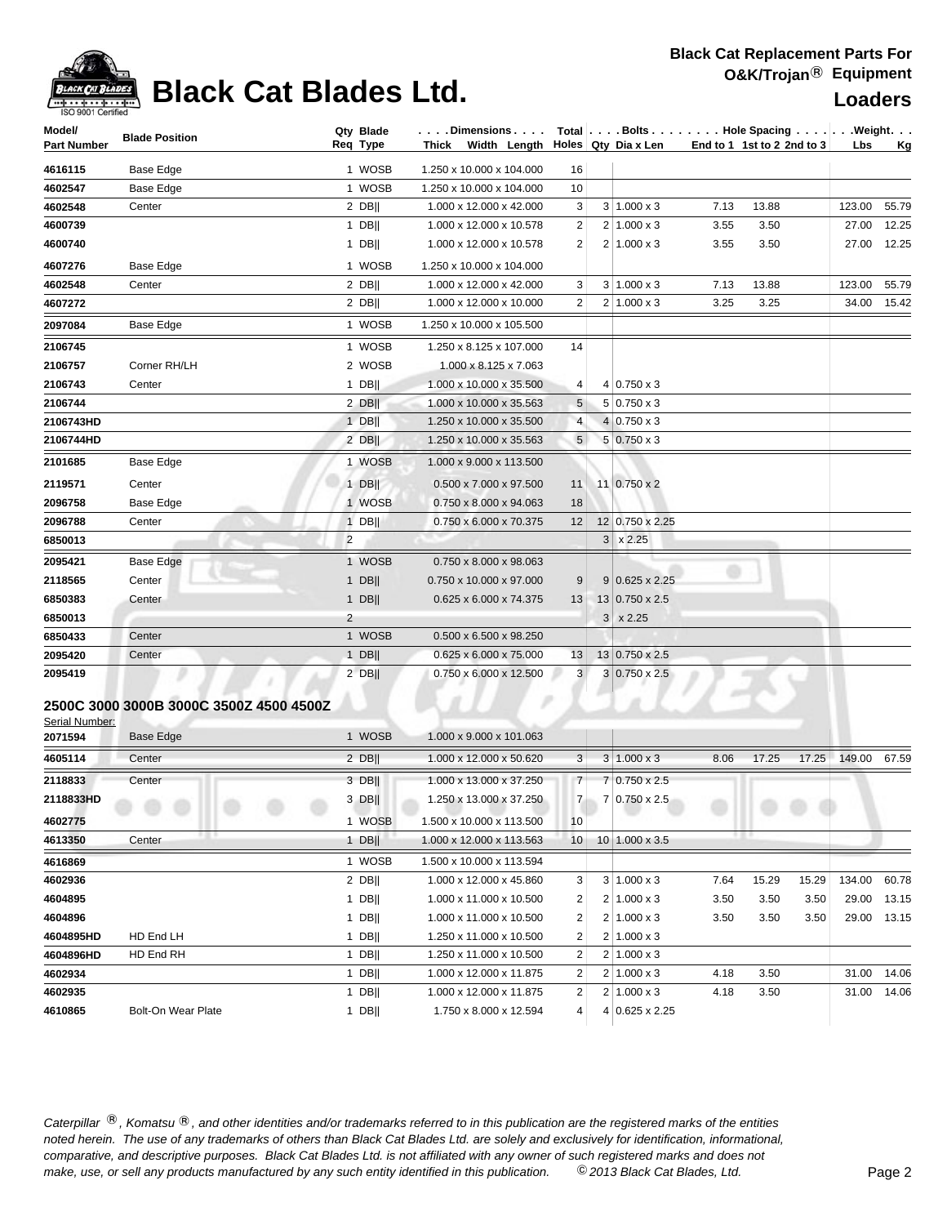| Model/             | <b>Blade Position</b> |                | Qty Blade |                                    |                |                |                                        |      | $\ldots$ . Dimensions $\ldots$ . $\mid$ Total $\mid \ldots$ . Bolts $\ldots$ . $\ldots$ . Hole Spacing $\ldots$ . $\mid \ldots$ . Weight. $\ldots$ |             |           |
|--------------------|-----------------------|----------------|-----------|------------------------------------|----------------|----------------|----------------------------------------|------|----------------------------------------------------------------------------------------------------------------------------------------------------|-------------|-----------|
| <b>Part Number</b> |                       |                | Req Type  |                                    |                |                | Thick Width Length Holes Qty Dia x Len |      | End to 1 1st to 2 2nd to 3                                                                                                                         | <b>Lbs</b>  | <u>Kg</u> |
| 4616115            | Base Edge             |                | 1 WOSB    | 1.250 x 10.000 x 104.000           | 16             |                |                                        |      |                                                                                                                                                    |             |           |
| 4602547            | Base Edge             |                | 1 WOSB    | 1.250 x 10.000 x 104.000           | 10             |                |                                        |      |                                                                                                                                                    |             |           |
| 4602548            | Center                |                | 2 DBII    | 1.000 x 12.000 x 42.000            | 3              |                | $3 1.000 \times 3$                     | 7.13 | 13.88                                                                                                                                              | 123.00      | 55.79     |
| 4600739            |                       |                | $1$ DB    | 1.000 x 12.000 x 10.578            | 2              |                | $2 1.000 \times 3$                     | 3.55 | 3.50                                                                                                                                               | 27.00       | 12.25     |
| 4600740            |                       |                | $1$ DB    | 1.000 x 12.000 x 10.578            | 2              |                | $2 1.000 \times 3$                     | 3.55 | 3.50                                                                                                                                               | 27.00 12.25 |           |
| 4607276            | <b>Base Edge</b>      |                | 1 WOSB    | 1.250 x 10.000 x 104.000           |                |                |                                        |      |                                                                                                                                                    |             |           |
| 4602548            | Center                |                | 2 DBII    | 1.000 x 12.000 x 42.000            | 3              |                | $3 \mid 1.000 \times 3$                | 7.13 | 13.88                                                                                                                                              | 123.00      | 55.79     |
| 4607272            |                       |                | $2$ DB    | 1.000 x 12.000 x 10.000            | 2              |                | $2 1.000 \times 3$                     | 3.25 | 3.25                                                                                                                                               | 34.00 15.42 |           |
| 2097084            | <b>Base Edge</b>      |                | 1 WOSB    | 1.250 x 10.000 x 105.500           |                |                |                                        |      |                                                                                                                                                    |             |           |
| 2106745            |                       |                | 1 WOSB    | 1.250 x 8.125 x 107.000            | 14             |                |                                        |      |                                                                                                                                                    |             |           |
| 2106757            | Corner RH/LH          |                | 2 WOSB    | 1.000 x 8.125 x 7.063              |                |                |                                        |      |                                                                                                                                                    |             |           |
| 2106743            | Center                |                | $1$ DB    | 1.000 x 10.000 x 35.500            | 4              |                | $4 0.750 \times 3$                     |      |                                                                                                                                                    |             |           |
| 2106744            |                       |                | $2$ DB    | 1.000 x 10.000 x 35.563            | 5              |                | $5 0.750 \times 3$                     |      |                                                                                                                                                    |             |           |
| 2106743HD          |                       |                | $1$ DB    | 1.250 x 10.000 x 35.500            | $\overline{4}$ |                | $4 0.750 \times 3$                     |      |                                                                                                                                                    |             |           |
| 2106744HD          |                       |                | 2 DBII    | 1.250 x 10.000 x 35.563            | 5 <sup>5</sup> |                | $5 \ 0.750 \times 3$                   |      |                                                                                                                                                    |             |           |
| 2101685            | Base Edge             |                | 1 WOSB    | 1.000 x 9.000 x 113.500            |                |                |                                        |      |                                                                                                                                                    |             |           |
| 2119571            | Center                |                | $1$ DB    | $0.500 \times 7.000 \times 97.500$ | 11             |                | 11 0.750 x 2                           |      |                                                                                                                                                    |             |           |
| 2096758            | Base Edge             |                | 1 WOSB    | $0.750 \times 8.000 \times 94.063$ | 18             |                |                                        |      |                                                                                                                                                    |             |           |
| 2096788            | Center                |                | $1$ DB    | 0.750 x 6.000 x 70.375             | 12             |                | 12 0.750 x 2.25                        |      |                                                                                                                                                    |             |           |
| 6850013            |                       | $\overline{2}$ |           |                                    |                | 3 <sup>1</sup> | x 2.25                                 |      |                                                                                                                                                    |             |           |
| 2095421            | Base Edge             |                | 1 WOSB    | 0.750 x 8.000 x 98.063             |                |                |                                        |      |                                                                                                                                                    |             |           |
| 2118565            | Center                | . .            | $1$ DB    | 0.750 x 10.000 x 97.000            | 9              |                | $9 0.625 \times 2.25$                  | w    |                                                                                                                                                    |             |           |
| 6850383            | Center                |                | $1$ DB    | 0.625 x 6.000 x 74.375             | 13             |                | 13 0.750 x 2.5                         |      |                                                                                                                                                    |             |           |
| 6850013            |                       | $\overline{2}$ |           |                                    |                | 3              | x 2.25                                 |      |                                                                                                                                                    |             |           |
| 6850433            | Center                |                | 1 WOSB    | $0.500 \times 6.500 \times 98.250$ |                |                |                                        |      |                                                                                                                                                    |             |           |
| 2095420            | Center                |                | $1$ DB    | 0.625 x 6.000 x 75.000             | 13             |                | 13 0.750 x 2.5                         |      |                                                                                                                                                    |             |           |
| 2095419            |                       |                | $2$ DB    | 0.750 x 6.000 x 12.500             | 3 <sup>1</sup> |                | $3 0.750 \times 2.5 $                  |      |                                                                                                                                                    |             |           |

### **2500C 3000 3000B 3000C 3500Z 4500 4500Z**

Serial Number:

| 2071594   | <b>Base Edge</b>          | 1 WOSB      | 1.000 x 9.000 x 101.063  |                 |                         |      |       |       |        |       |
|-----------|---------------------------|-------------|--------------------------|-----------------|-------------------------|------|-------|-------|--------|-------|
| 4605114   | Center                    | 2 DBII      | 1.000 x 12.000 x 50.620  | 3               | $3 1.000 \times 3$      | 8.06 | 17.25 | 17.25 | 149.00 | 67.59 |
| 2118833   | Center                    | 3 DBII      | 1.000 x 13.000 x 37.250  | 7 <sup>1</sup>  | 7 0.750 x 2.5           |      |       |       |        |       |
| 2118833HD |                           | $3$ DB      | 1.250 x 13.000 x 37.250  | 7 <sup>1</sup>  | 7 0.750 x 2.5           |      |       |       |        |       |
| 4602775   |                           | <b>WOSB</b> | 1.500 x 10.000 x 113.500 | 10 <sup>1</sup> |                         |      |       |       |        |       |
| 4613350   | <br>Center                | <b>DBII</b> | 1.000 x 12.000 x 113.563 | 10 <sup>1</sup> | $10 1.000 \times 3.5$   |      |       |       |        |       |
| 4616869   |                           | 1 WOSB      | 1.500 x 10.000 x 113.594 |                 |                         |      |       |       |        |       |
| 4602936   |                           | $2$ DB      | 1.000 x 12.000 x 45.860  | 3               | $3 1.000 \times 3$      | 7.64 | 15.29 | 15.29 | 134.00 | 60.78 |
| 4604895   |                           | <b>DBII</b> | 1.000 x 11.000 x 10.500  | 2               | $2 1.000 \times 3$      | 3.50 | 3.50  | 3.50  | 29.00  | 13.15 |
| 4604896   |                           | <b>DBII</b> | 1.000 x 11.000 x 10.500  | 2               | $2 1.000 \times 3$      | 3.50 | 3.50  | 3.50  | 29.00  | 13.15 |
| 4604895HD | HD End LH                 | DB          | 1.250 x 11.000 x 10.500  | 2               | $2 1.000 \times 3$      |      |       |       |        |       |
| 4604896HD | HD End RH                 | <b>DBII</b> | 1.250 x 11.000 x 10.500  | 2               | $2 \mid 1.000 \times 3$ |      |       |       |        |       |
| 4602934   |                           | DB          | 1.000 x 12.000 x 11.875  | 2               | $2 1.000 \times 3$      | 4.18 | 3.50  |       | 31.00  | 14.06 |
| 4602935   |                           | DBII        | 1.000 x 12.000 x 11.875  | 2               | $2 1.000 \times 3$      | 4.18 | 3.50  |       | 31.00  | 14.06 |
| 4610865   | <b>Bolt-On Wear Plate</b> | <b>DBII</b> | 1.750 x 8.000 x 12.594   | 4 <sup>1</sup>  | $4 0.625 \times 2.25$   |      |       |       |        |       |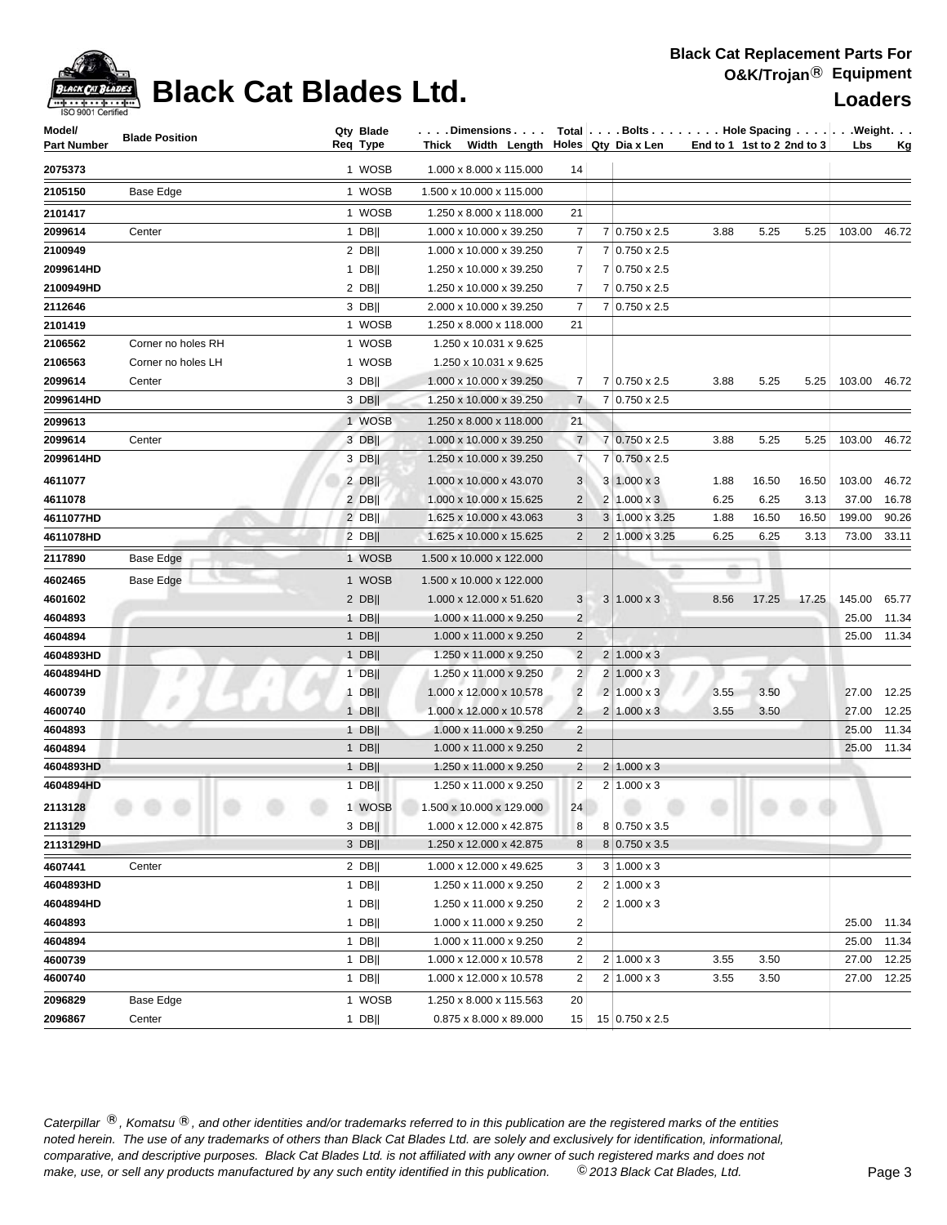| Model/             | <b>Blade Position</b> | Qty Blade<br>Reg Type | . Dimensions                          |                |                | Total Bolts Hole Spacing Weight. |      |                            |       |        |             |
|--------------------|-----------------------|-----------------------|---------------------------------------|----------------|----------------|----------------------------------|------|----------------------------|-------|--------|-------------|
| <b>Part Number</b> |                       |                       | Thick Width Length Holes Qty Diax Len |                |                |                                  |      | End to 1 1st to 2 2nd to 3 |       | Lbs    | <u>Kg</u>   |
| 2075373            |                       | 1 WOSB                | 1.000 x 8.000 x 115.000               | 14             |                |                                  |      |                            |       |        |             |
| 2105150            | Base Edge             | 1 WOSB                | 1.500 x 10.000 x 115.000              |                |                |                                  |      |                            |       |        |             |
| 2101417            |                       | 1 WOSB                | 1.250 x 8.000 x 118.000               | 21             |                |                                  |      |                            |       |        |             |
| 2099614            | Center                | $1$ DB                | 1.000 x 10.000 x 39.250               | 7              |                | 7 0.750 x 2.5                    | 3.88 | 5.25                       | 5.25  | 103.00 | 46.72       |
| 2100949            |                       | $2$ DB                | 1.000 x 10.000 x 39.250               | 7              |                | $7 0.750 \times 2.5$             |      |                            |       |        |             |
| 2099614HD          |                       | $1$ DB                | 1.250 x 10.000 x 39.250               | 7              |                | $7 0.750 \times 2.5$             |      |                            |       |        |             |
| 2100949HD          |                       | $2$ DB                | 1.250 x 10.000 x 39.250               | 7              |                | 7 0.750 x 2.5                    |      |                            |       |        |             |
| 2112646            |                       | $3$ DB                | 2.000 x 10.000 x 39.250               | 7              |                | 7 0.750 x 2.5                    |      |                            |       |        |             |
| 2101419            |                       | 1 WOSB                | 1.250 x 8.000 x 118.000               | 21             |                |                                  |      |                            |       |        |             |
| 2106562            | Corner no holes RH    | 1 WOSB                | 1.250 x 10.031 x 9.625                |                |                |                                  |      |                            |       |        |             |
| 2106563            | Corner no holes LH    | 1 WOSB                | 1.250 x 10.031 x 9.625                |                |                |                                  |      |                            |       |        |             |
| 2099614            | Center                | $3$ DB                | 1.000 x 10.000 x 39.250               | 7              |                | 7 0.750 x 2.5                    | 3.88 | 5.25                       | 5.25  | 103.00 | 46.72       |
| 2099614HD          |                       | $3$ DB                | 1.250 x 10.000 x 39.250               | $\overline{7}$ |                | $7 0.750 \times 2.5$             |      |                            |       |        |             |
| 2099613            |                       | 1 WOSB                | 1.250 x 8.000 x 118.000               | 21             |                |                                  |      |                            |       |        |             |
| 2099614            | Center                | 3 DB                  | 1.000 x 10.000 x 39.250               | $\overline{7}$ |                | 7 0.750 x 2.5                    | 3.88 | 5.25                       | 5.25  | 103.00 | 46.72       |
| 2099614HD          |                       | $3$ DB                | 1.250 x 10.000 x 39.250               | $\overline{7}$ | 7              | $0.750 \times 2.5$               |      |                            |       |        |             |
| 4611077            |                       | $2$ DB                | 1.000 x 10.000 x 43.070               | 3              |                | $3 1.000 \times 3$               | 1.88 | 16.50                      | 16.50 | 103.00 | 46.72       |
| 4611078            |                       | $2$ DB                | 1.000 x 10.000 x 15.625               | $\overline{2}$ |                | $2 1.000 \times 3 $              | 6.25 | 6.25                       | 3.13  | 37.00  | 16.78       |
| 4611077HD          |                       | $2$ DB                | 1.625 x 10.000 x 43.063               | 3              |                | 3 1.000 x 3.25                   | 1.88 | 16.50                      | 16.50 | 199.00 | 90.26       |
| 4611078HD          |                       | $2$ DB                | 1.625 x 10.000 x 15.625               | 2              | $\overline{2}$ | $1.000 \times 3.25$              | 6.25 | 6.25                       | 3.13  | 73.00  | 33.11       |
| 2117890            | Base Edge             | 1 WOSB                | 1.500 x 10.000 x 122.000              |                |                |                                  |      |                            |       |        |             |
|                    |                       |                       |                                       |                |                |                                  |      |                            |       |        |             |
| 4602465            | Base Edge             | 1 WOSB                | 1.500 x 10.000 x 122.000              |                |                |                                  |      |                            |       |        |             |
| 4601602            |                       | $2$ DB                | 1.000 x 12.000 x 51.620               | 3              |                | $3 1.000 \times 3$               | 8.56 | 17.25                      | 17.25 | 145.00 | 65.77       |
| 4604893            |                       | $1$ DB                | 1.000 x 11.000 x 9.250                | $\overline{2}$ |                |                                  |      |                            |       |        | 25.00 11.34 |
| 4604894            |                       | 1 $DB$                | 1.000 x 11.000 x 9.250                | $\overline{c}$ |                |                                  |      |                            |       |        | 25.00 11.34 |
| 4604893HD          |                       | $1$ DB                | 1.250 x 11.000 x 9.250                | $\overline{2}$ |                | $2 1.000 \times 3$               |      |                            |       |        |             |
| 4604894HD          |                       | $1$ DB                | 1.250 x 11.000 x 9.250                | $\overline{2}$ | $\overline{c}$ | $1.000 \times 3$                 |      |                            |       |        |             |
| 4600739            | ×                     | $1$ DB                | 1.000 x 12.000 x 10.578               | $\overline{2}$ | 2              | $1.000 \times 3$                 | 3.55 | 3.50                       |       | 27.00  | 12.25       |
| 4600740            |                       | $1$ DB                | 1.000 x 12.000 x 10.578               | $\overline{2}$ | $\overline{c}$ | $1.000 \times 3$                 | 3.55 | 3.50                       |       |        | 27.00 12.25 |
| 4604893            |                       | 1 DB                  | 1.000 x 11.000 x 9.250                | $\overline{2}$ |                |                                  |      |                            |       | 25.00  | 11.34       |
| 4604894            |                       | $1$ DB                | 1.000 x 11.000 x 9.250                | $\overline{2}$ |                |                                  |      |                            |       | 25.00  | 11.34       |
| 4604893HD          |                       | 1 DB                  | 1.250 x 11.000 x 9.250                | $\overline{2}$ |                | $2 1.000 \times 3$               |      |                            |       |        |             |
| 4604894HD          |                       | $1$ DB                | 1.250 x 11.000 x 9.250                | $\overline{2}$ |                | $2 1.000 \times 3$               |      |                            |       |        |             |
| 2113128            |                       | 1 WOSB                | 1.500 x 10.000 x 129.000              | 24             |                |                                  |      |                            |       |        |             |
| 2113129            |                       | $3$ DB                | 1.000 x 12.000 x 42.875               | 8              |                | $8 0.750 \times 3.5$             |      |                            |       |        |             |
| 2113129HD          |                       | $3$ DB                | 1.250 x 12.000 x 42.875               | 8              |                | $8 0.750 \times 3.5$             |      |                            |       |        |             |
| 4607441            | Center                | $2$ DB                | 1.000 x 12.000 x 49.625               | 3              |                | $3 1.000 \times 3$               |      |                            |       |        |             |
| 4604893HD          |                       | 1 DB                  | 1.250 x 11.000 x 9.250                | 2              | 2              | $1.000 \times 3$                 |      |                            |       |        |             |
| 4604894HD          |                       | 1 DB                  | 1.250 x 11.000 x 9.250                | $\overline{2}$ |                | $2 1.000 \times 3$               |      |                            |       |        |             |
| 4604893            |                       | 1 DB                  | 1.000 x 11.000 x 9.250                | $\overline{2}$ |                |                                  |      |                            |       | 25.00  | 11.34       |
| 4604894            |                       | 1 DB                  | 1.000 x 11.000 x 9.250                | $\overline{2}$ |                |                                  |      |                            |       | 25.00  | 11.34       |
| 4600739            |                       | 1 DB                  | 1.000 x 12.000 x 10.578               | 2              |                | $2 \mid 1.000 \times 3$          | 3.55 | 3.50                       |       | 27.00  | 12.25       |
| 4600740            |                       | 1 DB                  | 1.000 x 12.000 x 10.578               | $\overline{2}$ |                | $2 \mid 1.000 \times 3$          | 3.55 | 3.50                       |       | 27.00  | 12.25       |
| 2096829            | Base Edge             | 1 WOSB                | 1.250 x 8.000 x 115.563               | 20             |                |                                  |      |                            |       |        |             |
| 2096867            | Center                | $1$ DB                | $0.875 \times 8.000 \times 89.000$    | 15             |                | 15 0.750 x 2.5                   |      |                            |       |        |             |